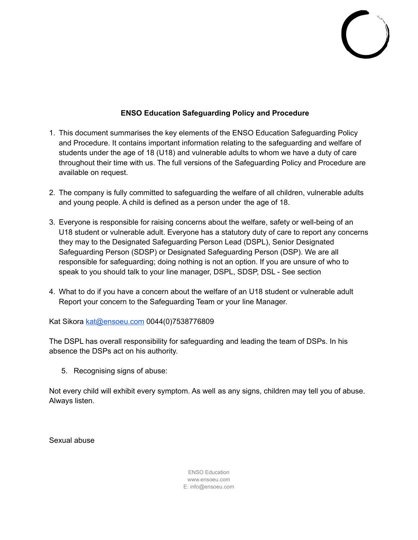# **ENSO Education Safeguarding Policy and Procedure**

- 1. This document summarises the key elements of the ENSO Education Safeguarding Policy and Procedure. It contains important information relating to the safeguarding and welfare of students under the age of 18 (U18) and vulnerable adults to whom we have a duty of care throughout their time with us. The full versions of the Safeguarding Policy and Procedure are available on request.
- 2. The company is fully committed to safeguarding the welfare of all children, vulnerable adults and young people. A child is defined as a person under the age of 18.
- 3. Everyone is responsible for raising concerns about the welfare, safety or well-being of an U18 student or vulnerable adult. Everyone has a statutory duty of care to report any concerns they may to the Designated Safeguarding Person Lead (DSPL), Senior Designated Safeguarding Person (SDSP) or Designated Safeguarding Person (DSP). We are all responsible for safeguarding; doing nothing is not an option. If you are unsure of who to speak to you should talk to your line manager, DSPL, SDSP, DSL - See section
- 4. What to do if you have a concern about the welfare of an U18 student or vulnerable adult Report your concern to the Safeguarding Team or your line Manager.

Kat Sikora [kat@ensoeu.com](mailto:kat@ensoeu.com) 0044(0)7538776809

The DSPL has overall responsibility for safeguarding and leading the team of DSPs. In his absence the DSPs act on his authority.

5. Recognising signs of abuse:

Not every child will exhibit every symptom. As well as any signs, children may tell you of abuse. Always listen.

Sexual abuse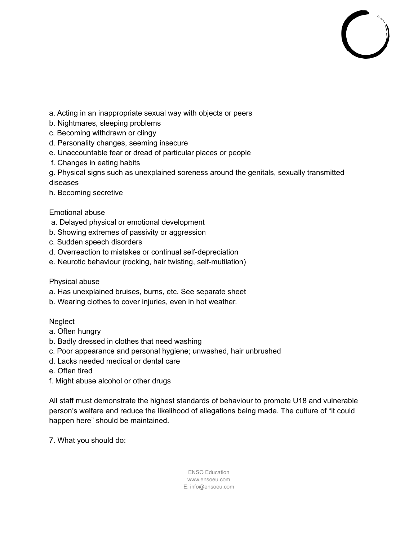- a. Acting in an inappropriate sexual way with objects or peers
- b. Nightmares, sleeping problems
- c. Becoming withdrawn or clingy
- d. Personality changes, seeming insecure
- e. Unaccountable fear or dread of particular places or people
- f. Changes in eating habits

g. Physical signs such as unexplained soreness around the genitals, sexually transmitted diseases

h. Becoming secretive

## Emotional abuse

- a. Delayed physical or emotional development
- b. Showing extremes of passivity or aggression
- c. Sudden speech disorders
- d. Overreaction to mistakes or continual self-depreciation
- e. Neurotic behaviour (rocking, hair twisting, self-mutilation)

## Physical abuse

- a. Has unexplained bruises, burns, etc. See separate sheet
- b. Wearing clothes to cover injuries, even in hot weather.

## **Neglect**

- a. Often hungry
- b. Badly dressed in clothes that need washing
- c. Poor appearance and personal hygiene; unwashed, hair unbrushed
- d. Lacks needed medical or dental care
- e. Often tired
- f. Might abuse alcohol or other drugs

All staff must demonstrate the highest standards of behaviour to promote U18 and vulnerable person's welfare and reduce the likelihood of allegations being made. The culture of "it could happen here" should be maintained.

7. What you should do: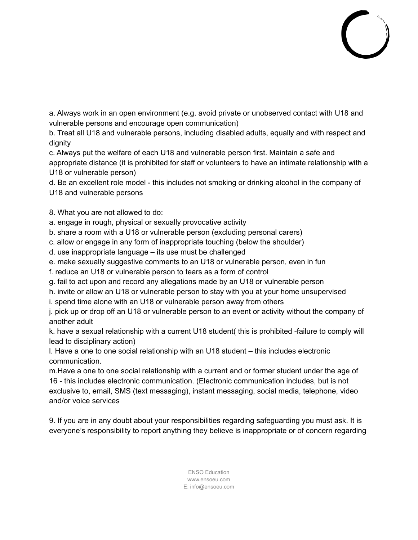a. Always work in an open environment (e.g. avoid private or unobserved contact with U18 and vulnerable persons and encourage open communication)

b. Treat all U18 and vulnerable persons, including disabled adults, equally and with respect and dignity

c. Always put the welfare of each U18 and vulnerable person first. Maintain a safe and appropriate distance (it is prohibited for staff or volunteers to have an intimate relationship with a U18 or vulnerable person)

d. Be an excellent role model - this includes not smoking or drinking alcohol in the company of U18 and vulnerable persons

8. What you are not allowed to do:

a. engage in rough, physical or sexually provocative activity

b. share a room with a U18 or vulnerable person (excluding personal carers)

c. allow or engage in any form of inappropriate touching (below the shoulder)

d. use inappropriate language – its use must be challenged

e. make sexually suggestive comments to an U18 or vulnerable person, even in fun

f. reduce an U18 or vulnerable person to tears as a form of control

g. fail to act upon and record any allegations made by an U18 or vulnerable person

h. invite or allow an U18 or vulnerable person to stay with you at your home unsupervised

i. spend time alone with an U18 or vulnerable person away from others

j. pick up or drop off an U18 or vulnerable person to an event or activity without the company of another adult

k. have a sexual relationship with a current U18 student( this is prohibited -failure to comply will lead to disciplinary action)

l. Have a one to one social relationship with an U18 student – this includes electronic communication.

m.Have a one to one social relationship with a current and or former student under the age of 16 - this includes electronic communication. (Electronic communication includes, but is not exclusive to, email, SMS (text messaging), instant messaging, social media, telephone, video and/or voice services

9. If you are in any doubt about your responsibilities regarding safeguarding you must ask. It is everyone's responsibility to report anything they believe is inappropriate or of concern regarding